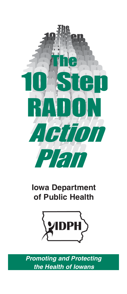

## **Iowa Department** of Public Health



**Promoting and Protecting** the Health of lowans